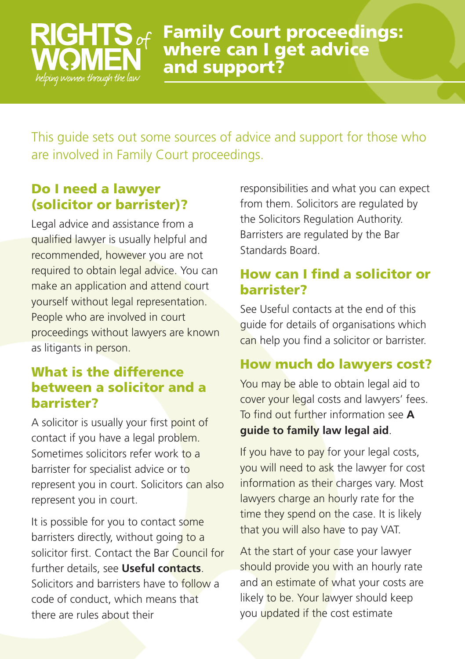# helping women through the law

**Family Court proceedings: where can I get advice and support?**

This guide sets out some sources of advice and support for those who are involved in Family Court proceedings.

# **Do I need a lawyer (solicitor or barrister)?**

Legal advice and assistance from a qualified lawyer is usually helpful and recommended, however you are not required to obtain legal advice. You can make an application and attend court yourself without legal representation. People who are involved in court proceedings without lawyers are known as litigants in person.

#### **What is the difference between a solicitor and a barrister?**

A solicitor is usually your first point of contact if you have a legal problem. Sometimes solicitors refer work to a barrister for specialist advice or to represent you in court. Solicitors can also represent you in court.

It is possible for you to contact some barristers directly, without going to a solicitor first. Contact the Bar Council for further details, see **Useful contacts**. Solicitors and barristers have to follow a code of conduct, which means that there are rules about their

responsibilities and what you can expect from them. Solicitors are regulated by the Solicitors Regulation Authority. Barristers are regulated by the Bar Standards Board.

# **How can I find a solicitor or barrister?**

See Useful contacts at the end of this guide for details of organisations which can help you find a solicitor or barrister.

### **How much do lawyers cost?**

You may be able to obtain legal aid to cover your legal costs and lawyers' fees. To find out further information see **A guide to family law legal aid**.

If you have to pay for your legal costs, you will need to ask the lawyer for cost information as their charges vary. Most lawyers charge an hourly rate for the time they spend on the case. It is likely that you will also have to pay VAT.

At the start of your case your lawyer should provide you with an hourly rate and an estimate of what your costs are likely to be. Your lawyer should keep you updated if the cost estimate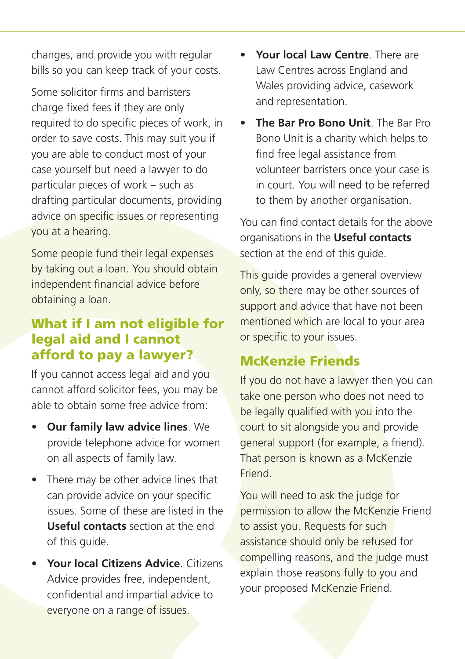changes, and provide you with regular bills so you can keep track of your costs.

Some solicitor firms and barristers charge fixed fees if they are only required to do specific pieces of work, in order to save costs. This may suit you if you are able to conduct most of your case yourself but need a lawyer to do particular pieces of work – such as drafting particular documents, providing advice on specific issues or representing you at a hearing.

Some people fund their legal expenses by taking out a loan. You should obtain independent financial advice before obtaining a loan.

#### **What if I am not eligible for legal aid and I cannot afford to pay a lawyer?**

If you cannot access legal aid and you cannot afford solicitor fees, you may be able to obtain some free advice from:

- **Our family law advice lines**. We provide telephone advice for women on all aspects of family law.
- There may be other advice lines that can provide advice on your specific issues. Some of these are listed in the **Useful contacts** section at the end of this guide.
- **Your local Citizens Advice**. Citizens Advice provides free, independent, confidential and impartial advice to everyone on a range of issues.
- **Your local Law Centre**. There are Law Centres across England and Wales providing advice, casework and representation.
- **The Bar Pro Bono Unit**. The Bar Pro Bono Unit is a charity which helps to find free legal assistance from volunteer barristers once your case is in court. You will need to be referred to them by another organisation.

You can find contact details for the above organisations in the **Useful contacts** section at the end of this guide.

This guide provides a general overview only, so there may be other sources of support and advice that have not been mentioned which are local to your area or specific to your issues.

# **McKenzie Friends**

If you do not have a lawyer then you can take one person who does not need to be legally qualified with you into the court to sit alongside you and provide general support (for example, a friend). That person is known as a McKenzie Friend.

You will need to ask the judge for permission to allow the McKenzie Friend to assist you. Requests for such assistance should only be refused for compelling reasons, and the judge must explain those reasons fully to you and your proposed McKenzie Friend.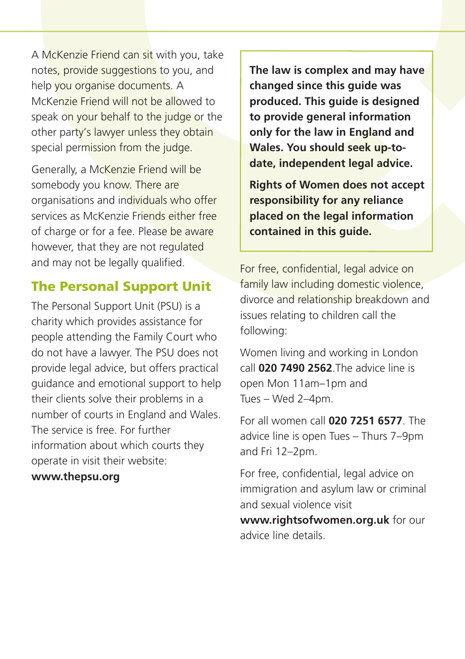A McKenzie Friend can sit with you, take notes, provide suggestions to you, and help you organise documents. A McKenzie Friend will not be allowed to speak on your behalf to the judge or the other party's lawyer unless they obtain special permission from the judge.

Generally, a McKenzie Friend will be somebody you know. There are organisations and individuals who offer services as McKenzie Friends either free of charge or for a fee. Please be aware however, that they are not regulated and may not be legally qualified.

#### **The Personal Support Unit**

The Personal Support Unit (PSU) is a charity which provides assistance for people attending the Family Court who do not have a lawyer. The PSU does not provide legal advice, but offers practical guidance and emotional support to help their clients solve their problems in a number of courts in England and Wales. The service is free. For further information about which courts they operate in visit their website:

#### **www.thepsu.org**

**The law is complex and may have changed since this guide was produced. This guide is designed to provide general information only for the law in England and Wales. You should seek up-todate, independent legal advice.**

**Rights of Women does not accept responsibility for any reliance placed on the legal information contained in this guide.**

For free, confidential, legal advice on family law including domestic violence, divorce and relationship breakdown and issues relating to children call the following:

Women living and working in London call **020 7490 2562**.The advice line is open Mon 11am–1pm and Tues – Wed 2–4pm.

For all women call **020 7251 6577**. The advice line is open Tues – Thurs 7–9pm and Fri 12–2pm.

For free, confidential, legal advice on immigration and asylum law or criminal and sexual violence visit

**www.rightsofwomen.org.uk** for our advice line details.